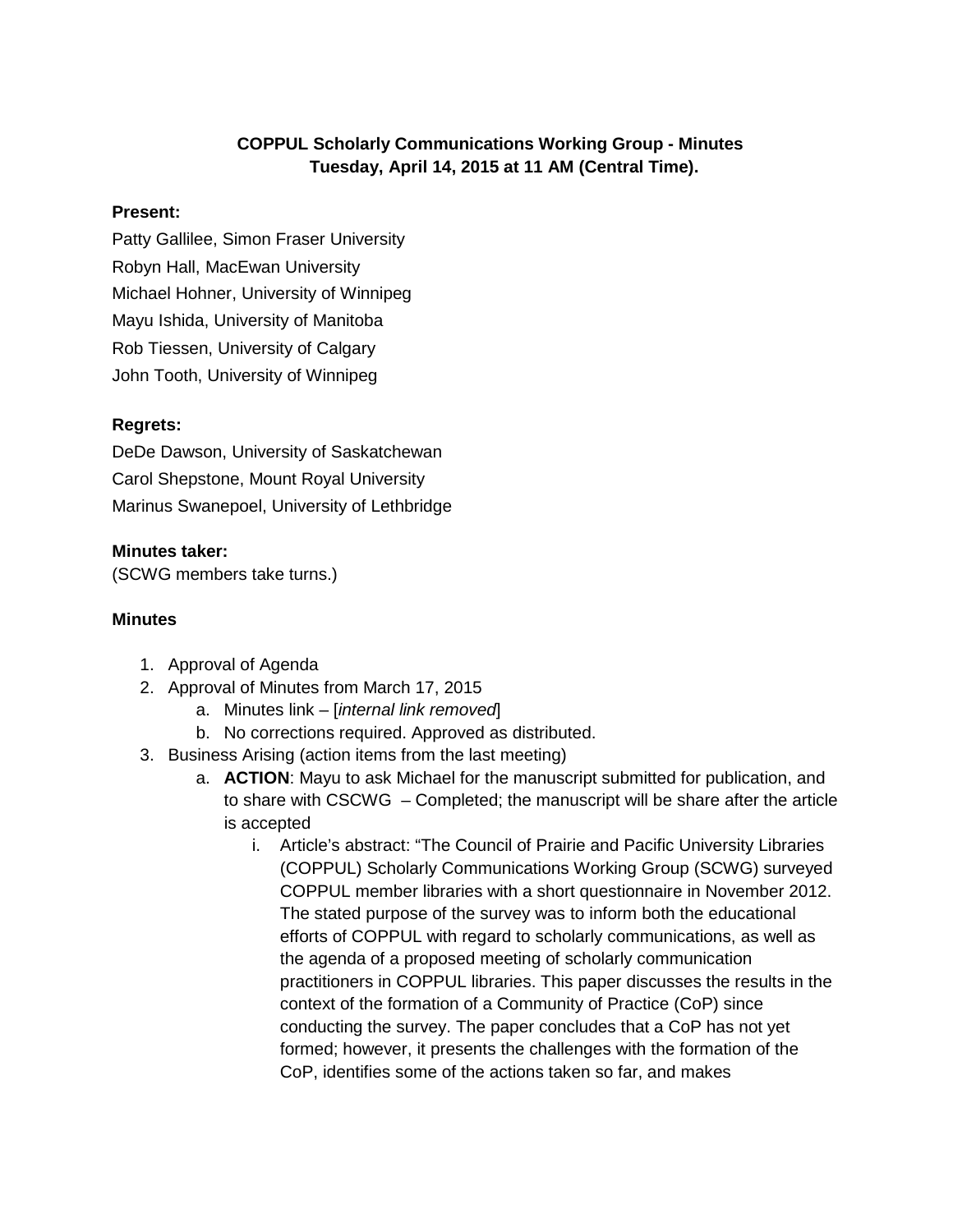# **COPPUL Scholarly Communications Working Group - Minutes Tuesday, April 14, 2015 at 11 AM (Central Time).**

#### **Present:**

Patty Gallilee, Simon Fraser University Robyn Hall, MacEwan University Michael Hohner, University of Winnipeg Mayu Ishida, University of Manitoba Rob Tiessen, University of Calgary John Tooth, University of Winnipeg

# **Regrets:**

DeDe Dawson, University of Saskatchewan Carol Shepstone, Mount Royal University Marinus Swanepoel, University of Lethbridge

# **Minutes taker:**

(SCWG members take turns.)

#### **Minutes**

- 1. Approval of Agenda
- 2. Approval of Minutes from March 17, 2015
	- a. Minutes link [*internal link removed*]
	- b. No corrections required. Approved as distributed.
- 3. Business Arising (action items from the last meeting)
	- a. **ACTION**: Mayu to ask Michael for the manuscript submitted for publication, and to share with CSCWG – Completed; the manuscript will be share after the article is accepted
		- i. Article's abstract: "The Council of Prairie and Pacific University Libraries (COPPUL) Scholarly Communications Working Group (SCWG) surveyed COPPUL member libraries with a short questionnaire in November 2012. The stated purpose of the survey was to inform both the educational efforts of COPPUL with regard to scholarly communications, as well as the agenda of a proposed meeting of scholarly communication practitioners in COPPUL libraries. This paper discusses the results in the context of the formation of a Community of Practice (CoP) since conducting the survey. The paper concludes that a CoP has not yet formed; however, it presents the challenges with the formation of the CoP, identifies some of the actions taken so far, and makes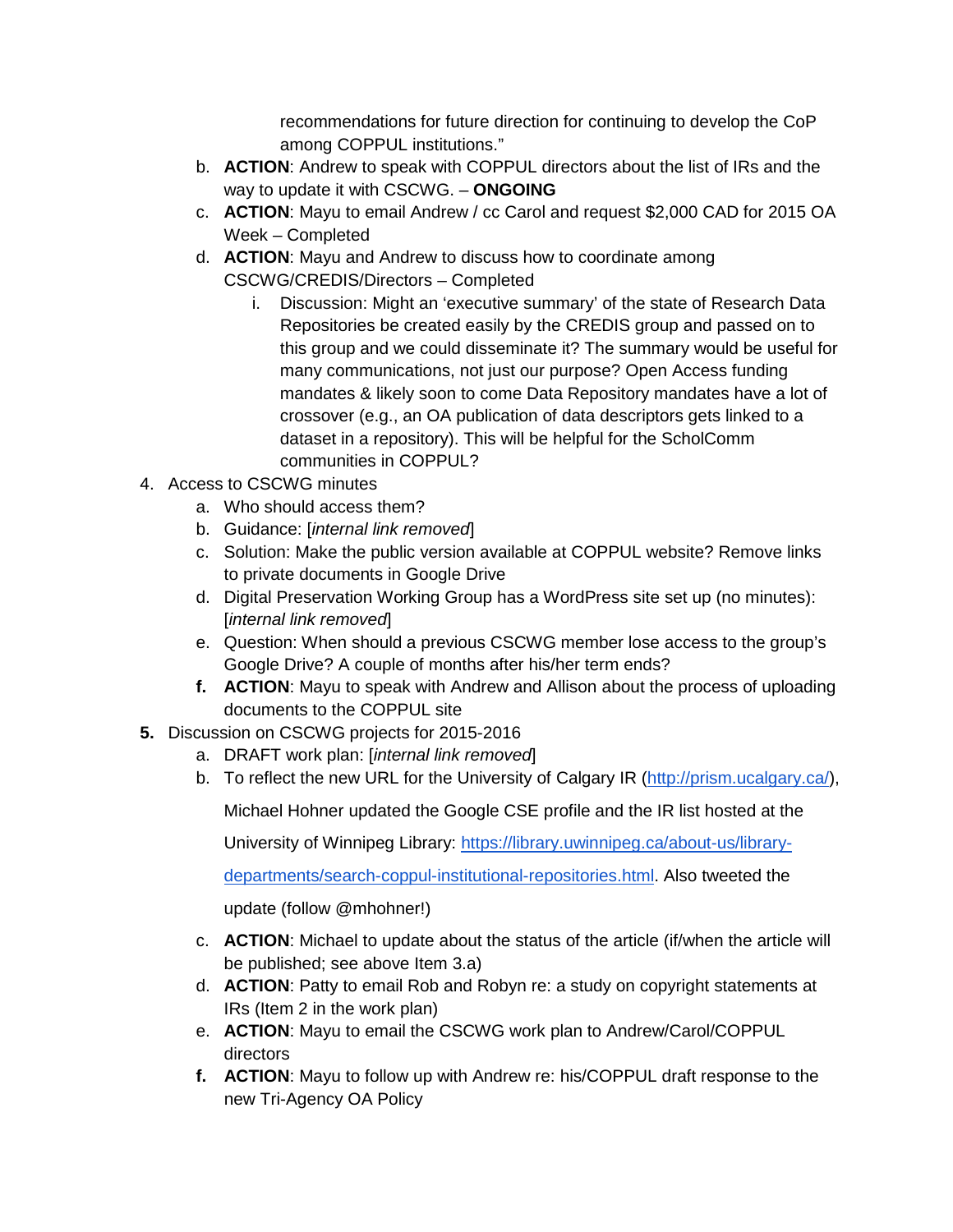recommendations for future direction for continuing to develop the CoP among COPPUL institutions."

- b. **ACTION**: Andrew to speak with COPPUL directors about the list of IRs and the way to update it with CSCWG. – **ONGOING**
- c. **ACTION**: Mayu to email Andrew / cc Carol and request \$2,000 CAD for 2015 OA Week – Completed
- d. **ACTION**: Mayu and Andrew to discuss how to coordinate among CSCWG/CREDIS/Directors – Completed
	- i. Discussion: Might an 'executive summary' of the state of Research Data Repositories be created easily by the CREDIS group and passed on to this group and we could disseminate it? The summary would be useful for many communications, not just our purpose? Open Access funding mandates & likely soon to come Data Repository mandates have a lot of crossover (e.g., an OA publication of data descriptors gets linked to a dataset in a repository). This will be helpful for the ScholComm communities in COPPUL?
- 4. Access to CSCWG minutes
	- a. Who should access them?
	- b. Guidance: [*internal link removed*]
	- c. Solution: Make the public version available at COPPUL website? Remove links to private documents in Google Drive
	- d. Digital Preservation Working Group has a WordPress site set up (no minutes): [*internal link removed*]
	- e. Question: When should a previous CSCWG member lose access to the group's Google Drive? A couple of months after his/her term ends?
	- **f. ACTION**: Mayu to speak with Andrew and Allison about the process of uploading documents to the COPPUL site
- **5.** Discussion on CSCWG projects for 2015-2016
	- a. DRAFT work plan: [*internal link removed*]
	- b. To reflect the new URL for the University of Calgary IR [\(http://prism.ucalgary.ca/\)](http://prism.ucalgary.ca/),

Michael Hohner updated the Google CSE profile and the IR list hosted at the

University of Winnipeg Library: [https://library.uwinnipeg.ca/about-us/library-](https://library.uwinnipeg.ca/about-us/library-departments/search-coppul-institutional-repositories.html)

[departments/search-coppul-institutional-repositories.html.](https://library.uwinnipeg.ca/about-us/library-departments/search-coppul-institutional-repositories.html) Also tweeted the

update (follow @mhohner!)

- c. **ACTION**: Michael to update about the status of the article (if/when the article will be published; see above Item 3.a)
- d. **ACTION**: Patty to email Rob and Robyn re: a study on copyright statements at IRs (Item 2 in the work plan)
- e. **ACTION**: Mayu to email the CSCWG work plan to Andrew/Carol/COPPUL directors
- **f. ACTION**: Mayu to follow up with Andrew re: his/COPPUL draft response to the new Tri-Agency OA Policy